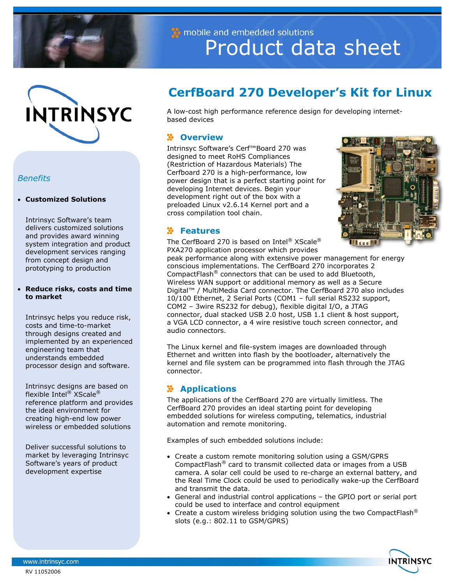



## *Benefits*

#### • **Customized Solutions**

Intrinsyc Software's team delivers customized solutions and provides award winning system integration and product development services ranging from concept design and prototyping to production

#### • **Reduce risks, costs and time to market**

Intrinsyc helps you reduce risk, costs and time-to-market through designs created and implemented by an experienced engineering team that understands embedded processor design and software.

Intrinsyc designs are based on flexible Intel® XScale® reference platform and provides the ideal environment for creating high-end low power wireless or embedded solutions

Deliver successful solutions to market by leveraging Intrinsyc Software's years of product development expertise

# mobile and embedded solutions Product data sheet

## **CerfBoard 270 Developer's Kit for Linux**

A low-cost high performance reference design for developing internetbased devices

## **Overview**

Intrinsyc Software's Cerf™Board 270 was designed to meet RoHS Compliances (Restriction of Hazardous Materials) The Cerfboard 270 is a high-performance, low power design that is a perfect starting point for developing Internet devices. Begin your development right out of the box with a preloaded Linux v2.6.14 Kernel port and a cross compilation tool chain.



## **Features**

The CerfBoard 270 is based on Intel<sup>®</sup> XScale<sup>®</sup> PXA270 application processor which provides

peak performance along with extensive power management for energy conscious implementations. The CerfBoard 270 incorporates 2 CompactFlash® connectors that can be used to add Bluetooth, Wireless WAN support or additional memory as well as a Secure Digital™ / MultiMedia Card connector. The CerfBoard 270 also includes 10/100 Ethernet, 2 Serial Ports (COM1 – full serial RS232 support, COM2 – 3wire RS232 for debug), flexible digital I/O, a JTAG connector, dual stacked USB 2.0 host, USB 1.1 client & host support, a VGA LCD connector, a 4 wire resistive touch screen connector, and audio connectors.

The Linux kernel and file-system images are downloaded through Ethernet and written into flash by the bootloader, alternatively the kernel and file system can be programmed into flash through the JTAG connector.

## **Applications**

The applications of the CerfBoard 270 are virtually limitless. The CerfBoard 270 provides an ideal starting point for developing embedded solutions for wireless computing, telematics, industrial automation and remote monitoring.

Examples of such embedded solutions include:

- Create a custom remote monitoring solution using a GSM/GPRS CompactFlash® card to transmit collected data or images from a USB camera. A solar cell could be used to re-charge an external battery, and the Real Time Clock could be used to periodically wake-up the CerfBoard and transmit the data.
- General and industrial control applications the GPIO port or serial port could be used to interface and control equipment
- Create a custom wireless bridging solution using the two CompactFlash<sup>®</sup> slots (e.g.: 802.11 to GSM/GPRS)